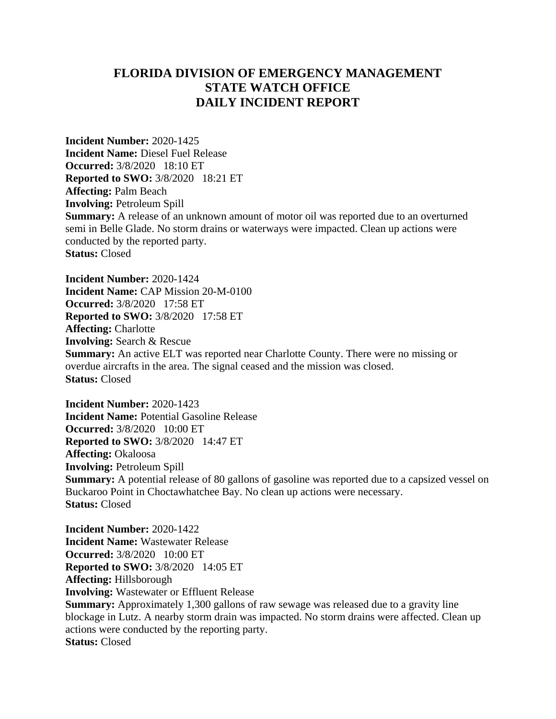## **FLORIDA DIVISION OF EMERGENCY MANAGEMENT STATE WATCH OFFICE DAILY INCIDENT REPORT**

**Incident Number:** 2020-1425 **Incident Name:** Diesel Fuel Release **Occurred:** 3/8/2020 18:10 ET **Reported to SWO:** 3/8/2020 18:21 ET **Affecting:** Palm Beach **Involving:** Petroleum Spill **Summary:** A release of an unknown amount of motor oil was reported due to an overturned semi in Belle Glade. No storm drains or waterways were impacted. Clean up actions were conducted by the reported party. **Status:** Closed

**Incident Number:** 2020-1424 **Incident Name:** CAP Mission 20-M-0100 **Occurred:** 3/8/2020 17:58 ET **Reported to SWO:** 3/8/2020 17:58 ET **Affecting:** Charlotte **Involving:** Search & Rescue **Summary:** An active ELT was reported near Charlotte County. There were no missing or overdue aircrafts in the area. The signal ceased and the mission was closed. **Status:** Closed

**Incident Number:** 2020-1423 **Incident Name:** Potential Gasoline Release **Occurred:** 3/8/2020 10:00 ET **Reported to SWO:** 3/8/2020 14:47 ET **Affecting:** Okaloosa **Involving:** Petroleum Spill **Summary:** A potential release of 80 gallons of gasoline was reported due to a capsized vessel on Buckaroo Point in Choctawhatchee Bay. No clean up actions were necessary. **Status:** Closed

**Incident Number:** 2020-1422 **Incident Name:** Wastewater Release **Occurred:** 3/8/2020 10:00 ET **Reported to SWO:** 3/8/2020 14:05 ET **Affecting:** Hillsborough **Involving:** Wastewater or Effluent Release **Summary:** Approximately 1,300 gallons of raw sewage was released due to a gravity line blockage in Lutz. A nearby storm drain was impacted. No storm drains were affected. Clean up actions were conducted by the reporting party. **Status:** Closed